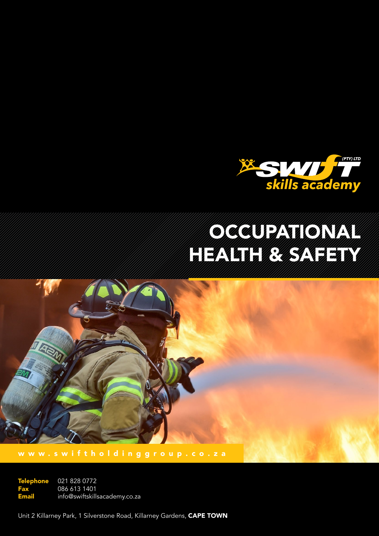

# **Occupational** Health Bally Charles Bally Straight

www.swiftholdinggroup.co.za

021 828 0772 086 613 1401 info@swiftskillsacademy.co.za **Telephone** Fax Email

Unit 2 Killarney Park, 1 Silverstone Road, Killarney Gardens, CAPE TOWN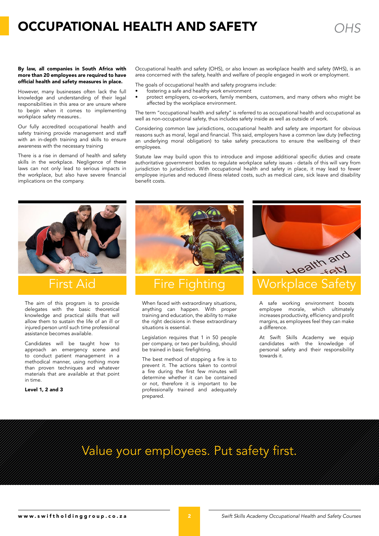### **OCCUPATIONAL HEALTH AND SAFETY WEIGHT AND SAFETY**

However, many businesses often lack the full knowledge and understanding of their legal responsibilities in this area or are unsure where to begin when it comes to implementing workplace safety measures..

Our fully accredited occupational health and safety training provide management and staff with an in-depth training and skills to ensure awareness with the necessary training

There is a rise in demand of health and safety skills in the workplace. Negligence of these laws can not only lead to serious impacts in the workplace, but also have severe financial implications on the company.

Occupational health and safety (OHS), or also known as workplace health and safety (WHS), is an area concerned with the safety, health and welfare of people engaged in work or employment.

The goals of occupational health and safety programs include:

- fostering a safe and healthy work environment
- protect employers, co-workers, family members, customers, and many others who might be affected by the workplace environment.

The term "occupational health and safety" is referred to as occupational health and occupational as well as non-occupational safety, thus includes safety inside as well as outside of work.

Considering common law jurisdictions, occupational health and safety are important for obvious reasons such as moral, legal and financial. This said, employers have a common law duty (reflecting an underlying moral obligation) to take safety precautions to ensure the wellbeing of their employees.

Statute law may build upon this to introduce and impose additional specific duties and create authoritative government bodies to regulate workplace safety issues - details of this will vary from jurisdiction to jurisdiction. With occupational health and safety in place, it may lead to fewer employee injuries and reduced illness related costs, such as medical care, sick leave and disability benefit costs.



The aim of this program is to provide delegates with the basic theoretical knowledge and practical skills that will allow them to sustain the life of an ill or injured person until such time professional assistance becomes available.

Candidates will be taught how to approach an emergency scene and to conduct patient management in a methodical manner, using nothing more than proven techniques and whatever materials that are available at that point in time.

Level 1, 2 and 3



When faced with extraordinary situations, anything can happen. With proper training and education, the ability to make the right decisions in these extraordinary situations is essential.

Legislation requires that 1 in 50 people per company, or two per building, should be trained in basic firefighting.

The best method of stopping a fire is to prevent it. The actions taken to control a fire during the first few minutes will determine whether it can be contained or not, therefore it is important to be professionally trained and adequately prepared.



A safe working environment boosts employee morale, which ultimately increases productivity, efficiency and profit margins, as employees feel they can make a difference.

At Swift Skills Academy we equip candidates with the knowledge of personal safety and their responsibility towards it.

### Value your employees. Put safety first.